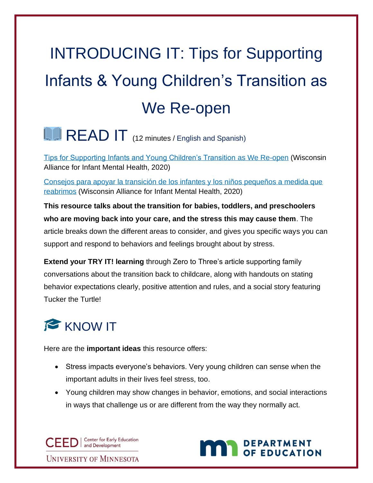## INTRODUCING IT: Tips for Supporting Infants & Young Children's Transition as We Re-open

## **LEAD IT** (12 minutes / English and Spanish)

[Tips for Supporting Infants and Young Children's Transition](https://static1.squarespace.com/static/5b6af3b236099ba883a28b1e/t/5ecfb904bd69a776faa58825/1590671623364/Tips+for+Supporting+Infants+and+Young+Children+as+We+Re-open.pdf) as We Re-open (Wisconsin Alliance for Infant Mental Health, 2020)

[Consejos para apoyar la transición de los infantes y los niños pequeños a medida que](https://wiaimh.org/covid-resources-for-professionals)  [reabrimos](https://wiaimh.org/covid-resources-for-professionals) (Wisconsin Alliance for Infant Mental Health, 2020)

**This resource talks about the transition for babies, toddlers, and preschoolers who are moving back into your care, and the stress this may cause them**. The article breaks down the different areas to consider, and gives you specific ways you can support and respond to behaviors and feelings brought about by stress.

**Extend your TRY IT! learning** through Zero to Three's article supporting family conversations about the transition back to childcare, along with handouts on stating behavior expectations clearly, positive attention and rules, and a social story featuring Tucker the Turtle!

## **KNOW IT**

Here are the **important ideas** this resource offers:

- Stress impacts everyone's behaviors. Very young children can sense when the important adults in their lives feel stress, too.
- Young children may show changes in behavior, emotions, and social interactions in ways that challenge us or are different from the way they normally act.

CEED | Center for Early Equal Development **Center for Early Education UNIVERSITY OF MINNESOTA** 

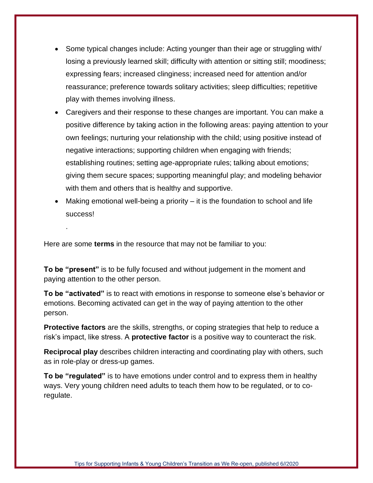- Some typical changes include: Acting younger than their age or struggling with/ losing a previously learned skill; difficulty with attention or sitting still; moodiness; expressing fears; increased clinginess; increased need for attention and/or reassurance; preference towards solitary activities; sleep difficulties; repetitive play with themes involving illness.
- Caregivers and their response to these changes are important. You can make a positive difference by taking action in the following areas: paying attention to your own feelings; nurturing your relationship with the child; using positive instead of negative interactions; supporting children when engaging with friends; establishing routines; setting age-appropriate rules; talking about emotions; giving them secure spaces; supporting meaningful play; and modeling behavior with them and others that is healthy and supportive.
- Making emotional well-being a priority it is the foundation to school and life success!

Here are some **terms** in the resource that may not be familiar to you:

.

**To be "present"** is to be fully focused and without judgement in the moment and paying attention to the other person.

**To be "activated"** is to react with emotions in response to someone else's behavior or emotions. Becoming activated can get in the way of paying attention to the other person.

**Protective factors** are the skills, strengths, or coping strategies that help to reduce a risk's impact, like stress. A **protective factor** is a positive way to counteract the risk.

**Reciprocal play** describes children interacting and coordinating play with others, such as in role-play or dress-up games.

**To be "regulated"** is to have emotions under control and to express them in healthy ways. Very young children need adults to teach them how to be regulated, or to coregulate.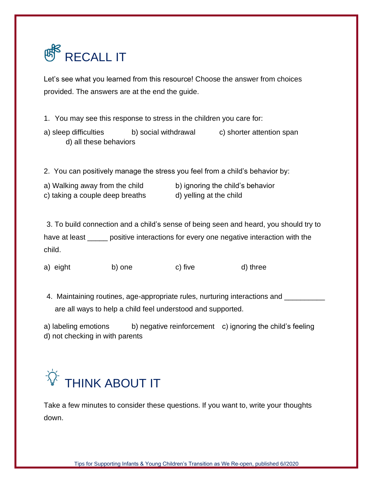

Let's see what you learned from this resource! Choose the answer from choices provided. The answers are at the end the guide.

- 1. You may see this response to stress in the children you care for:
- a) sleep difficulties b) social withdrawal c) shorter attention span d) all these behaviors

2. You can positively manage the stress you feel from a child's behavior by:

| a) Walking away from the child  | b) ignoring the child's behavior |
|---------------------------------|----------------------------------|
| c) taking a couple deep breaths | d) yelling at the child          |

3. To build connection and a child's sense of being seen and heard, you should try to have at least \_\_\_\_\_ positive interactions for every one negative interaction with the child.

- a) eight b) one c) five d) three
- 4. Maintaining routines, age-appropriate rules, nurturing interactions and \_\_\_\_\_\_\_ are all ways to help a child feel understood and supported.

a) labeling emotions b) negative reinforcement c) ignoring the child's feeling d) not checking in with parents



Take a few minutes to consider these questions. If you want to, write your thoughts down.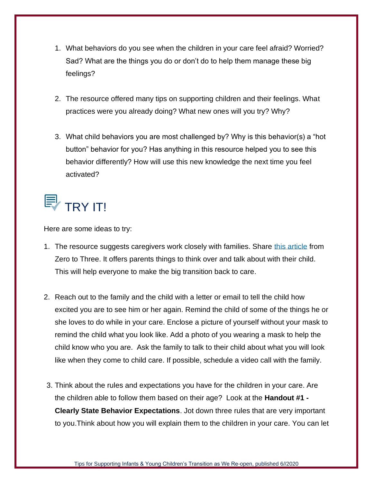- 1. What behaviors do you see when the children in your care feel afraid? Worried? Sad? What are the things you do or don't do to help them manage these big feelings?
- 2. The resource offered many tips on supporting children and their feelings. What practices were you already doing? What new ones will you try? Why?
- 3. What child behaviors you are most challenged by? Why is this behavior(s) a "hot button" behavior for you? Has anything in this resource helped you to see this behavior differently? How will use this new knowledge the next time you feel activated?



Here are some ideas to try:

- 1. The resource suggests caregivers work closely with families. Share [this article](https://www.zerotothree.org/resources/3413-what-comes-next-back-to-child-care-following-shelter-in-place) from Zero to Three. It offers parents things to think over and talk about with their child. This will help everyone to make the big transition back to care.
- 2. Reach out to the family and the child with a letter or email to tell the child how excited you are to see him or her again. Remind the child of some of the things he or she loves to do while in your care. Enclose a picture of yourself without your mask to remind the child what you look like. Add a photo of you wearing a mask to help the child know who you are. Ask the family to talk to their child about what you will look like when they come to child care. If possible, schedule a video call with the family.
- 3. Think about the rules and expectations you have for the children in your care. Are the children able to follow them based on their age? Look at the **Handout #1 - Clearly State Behavior Expectations**. Jot down three rules that are very important to you.Think about how you will explain them to the children in your care. You can let